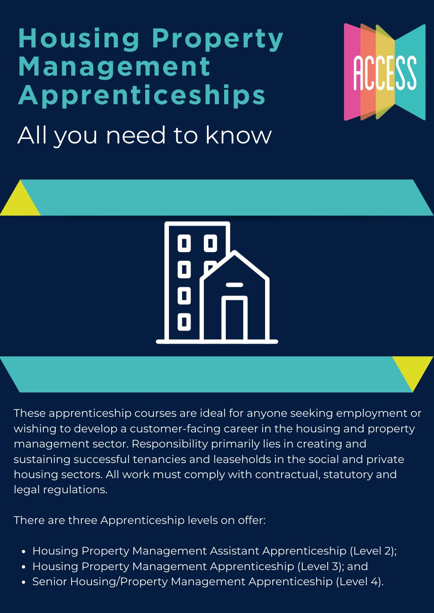# **Housing Property Management Apprenticeships** All you need to know





These apprenticeship courses are ideal for anyone seeking employment or wishing to develop a customer-facing career in the housing and property management sector. Responsibility primarily lies in creating and sustaining successful tenancies and leaseholds in the social and private housing sectors. All work must comply with contractual, statutory and legal regulations.

There are three Apprenticeship levels on offer:

- Housing Property Management Assistant Apprenticeship (Level 2);
- Housing Property Management Apprenticeship (Level 3); and  $\bullet$
- Senior Housing/Property Management Apprenticeship (Level 4).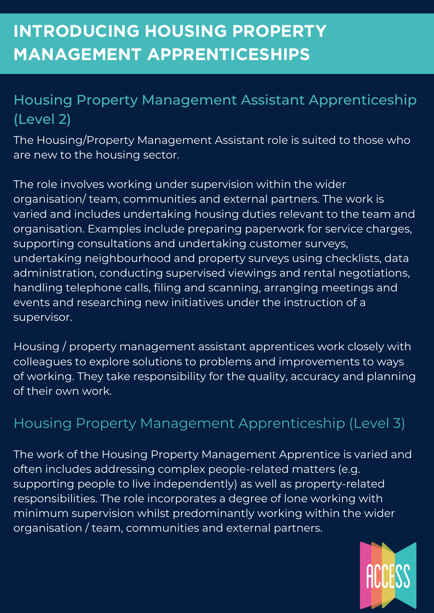### Housing Property Management Assistant Apprenticeship (Level 2)

The Housing/Property Management Assistant role is suited to those who are new to the housing sector.

The role involves working under supervision within the wider organisation/ team, communities and external partners. The work is varied and includes undertaking housing duties relevant to the team and organisation. Examples include preparing paperwork for service charges, supporting consultations and undertaking customer surveys, undertaking neighbourhood and property surveys using checklists, data administration, conducting supervised viewings and rental negotiations, handling telephone calls, filing and scanning, arranging meetings and events and researching new initiatives under the instruction of a supervisor.

Housing / property management assistant apprentices work closely with colleagues to explore solutions to problems and improvements to ways of working. They take responsibility for the quality, accuracy and planning of their own work.

### Housing Property Management Apprenticeship (Level 3)

The work of the Housing Property Management Apprentice is varied and often includes addressing complex people-related matters (e.g. supporting people to live independently) as well as property-related responsibilities. The role incorporates a degree of lone working with minimum supervision whilst predominantly working within the wider organisation / team, communities and external partners.

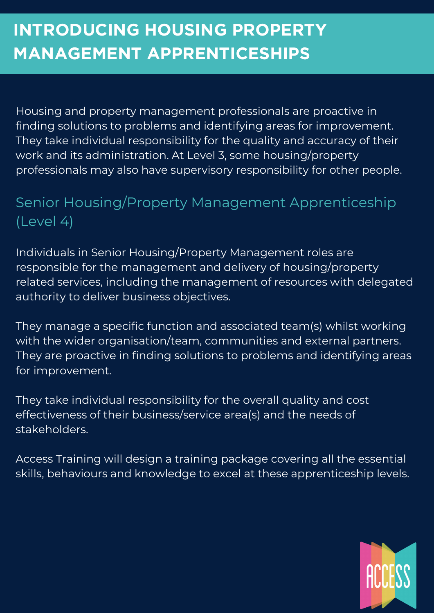# **INTRODUCING HOUSING PROPERTY MANAGEMENT APPRENTICESHIPS**

Housing and property management professionals are proactive in finding solutions to problems and identifying areas for improvement. They take individual responsibility for the quality and accuracy of their work and its administration. At Level 3, some housing/property professionals may also have supervisory responsibility for other people.

#### Senior Housing/Property Management Apprenticeship (Level 4)

Individuals in Senior Housing/Property Management roles are responsible for the management and delivery of housing/property related services, including the management of resources with delegated authority to deliver business objectives.

They manage a specific function and associated team(s) whilst working with the wider organisation/team, communities and external partners. They are proactive in finding solutions to problems and identifying areas for improvement.

They take individual responsibility for the overall quality and cost effectiveness of their business/service area(s) and the needs of stakeholders.

Access Training will design a training package covering all the essential skills, behaviours and knowledge to excel at these apprenticeship levels.

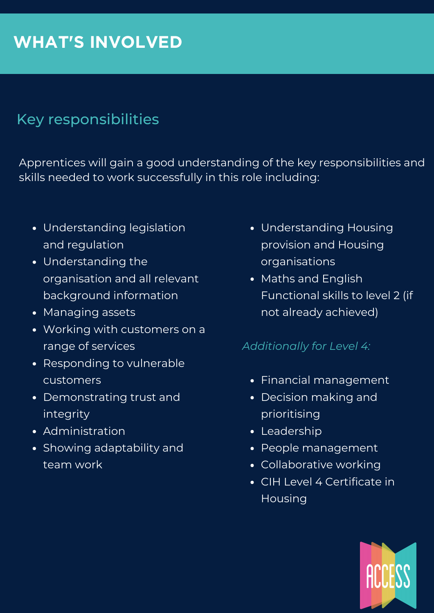## **WHAT'S INVOLVED**

#### Key responsibilities

Apprentices will gain a good understanding of the key responsibilities and skills needed to work successfully in this role including:

- Understanding legislation and regulation
- Understanding the organisation and all relevant background information
- Managing assets
- Working with customers on a range of services
- Responding to vulnerable customers
- Demonstrating trust and integrity
- Administration
- Showing adaptability and team work
- Understanding Housing provision and Housing organisations
- Maths and English Functional skills to level 2 (if not already achieved)

#### *Additionally for Level 4:*

- Financial management
- Decision making and prioritising
- Leadership
- People management
- Collaborative working
- CIH Level 4 Certificate in Housing